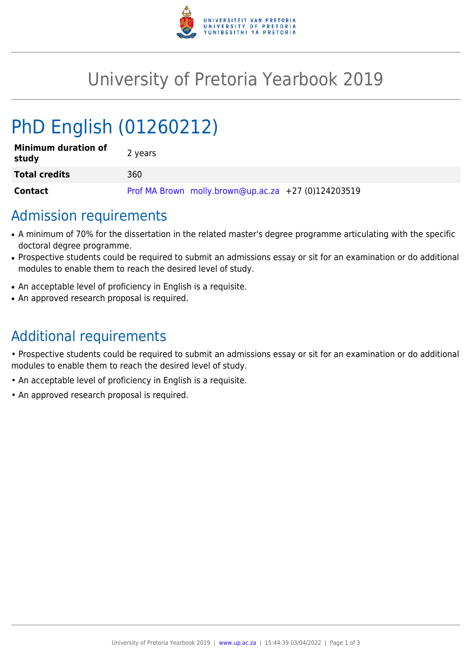

## University of Pretoria Yearbook 2019

# PhD English (01260212)

| <b>Minimum duration of</b><br>study | 2 years                                             |
|-------------------------------------|-----------------------------------------------------|
| <b>Total credits</b>                | 360                                                 |
| <b>Contact</b>                      | Prof MA Brown molly.brown@up.ac.za +27 (0)124203519 |

### Admission requirements

- A minimum of 70% for the dissertation in the related master's degree programme articulating with the specific doctoral degree programme.
- Prospective students could be required to submit an admissions essay or sit for an examination or do additional modules to enable them to reach the desired level of study.
- An acceptable level of proficiency in English is a requisite.
- An approved research proposal is required.

## Additional requirements

• Prospective students could be required to submit an admissions essay or sit for an examination or do additional modules to enable them to reach the desired level of study.

- An acceptable level of proficiency in English is a requisite.
- An approved research proposal is required.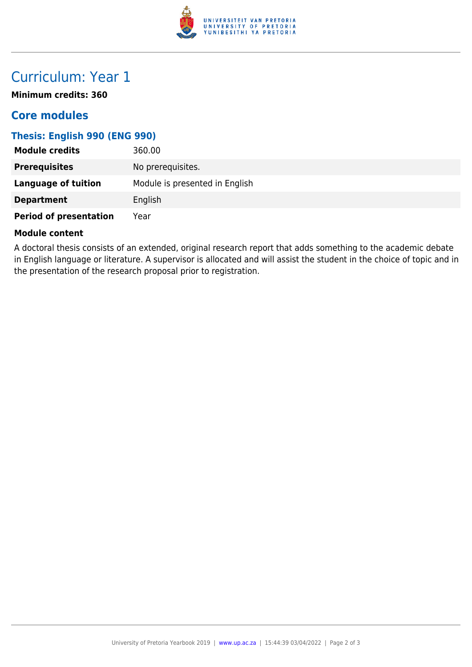

## Curriculum: Year 1

**Minimum credits: 360**

#### **Core modules**

#### **Thesis: English 990 (ENG 990)**

| <b>Module credits</b>         | 360.00                         |
|-------------------------------|--------------------------------|
| <b>Prerequisites</b>          | No prerequisites.              |
| Language of tuition           | Module is presented in English |
| <b>Department</b>             | English                        |
| <b>Period of presentation</b> | Year                           |

#### **Module content**

A doctoral thesis consists of an extended, original research report that adds something to the academic debate in English language or literature. A supervisor is allocated and will assist the student in the choice of topic and in the presentation of the research proposal prior to registration.